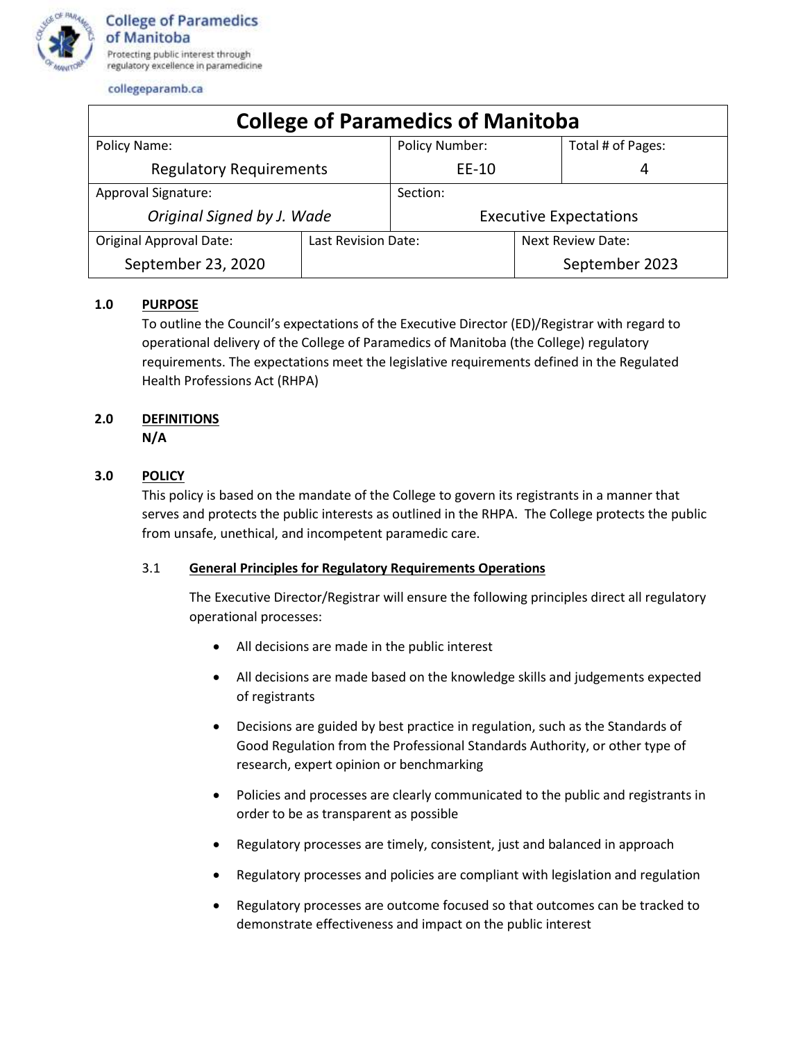

| <b>College of Paramedics of Manitoba</b> |                     |                               |                          |                   |
|------------------------------------------|---------------------|-------------------------------|--------------------------|-------------------|
| Policy Name:                             |                     | <b>Policy Number:</b>         |                          | Total # of Pages: |
| <b>Regulatory Requirements</b>           |                     | EE-10                         |                          | 4                 |
| Approval Signature:                      |                     | Section:                      |                          |                   |
| Original Signed by J. Wade               |                     | <b>Executive Expectations</b> |                          |                   |
| <b>Original Approval Date:</b>           | Last Revision Date: |                               | <b>Next Review Date:</b> |                   |
| September 23, 2020                       |                     |                               |                          | September 2023    |

## **1.0 PURPOSE**

To outline the Council's expectations of the Executive Director (ED)/Registrar with regard to operational delivery of the College of Paramedics of Manitoba (the College) regulatory requirements. The expectations meet the legislative requirements defined in the Regulated Health Professions Act (RHPA)

# **2.0 DEFINITIONS**

**N/A**

## **3.0 POLICY**

This policy is based on the mandate of the College to govern its registrants in a manner that serves and protects the public interests as outlined in the RHPA. The College protects the public from unsafe, unethical, and incompetent paramedic care.

#### 3.1 **General Principles for Regulatory Requirements Operations**

The Executive Director/Registrar will ensure the following principles direct all regulatory operational processes:

- All decisions are made in the public interest
- All decisions are made based on the knowledge skills and judgements expected of registrants
- Decisions are guided by best practice in regulation, such as the Standards of Good Regulation from the Professional Standards Authority, or other type of research, expert opinion or benchmarking
- Policies and processes are clearly communicated to the public and registrants in order to be as transparent as possible
- Regulatory processes are timely, consistent, just and balanced in approach
- Regulatory processes and policies are compliant with legislation and regulation
- Regulatory processes are outcome focused so that outcomes can be tracked to demonstrate effectiveness and impact on the public interest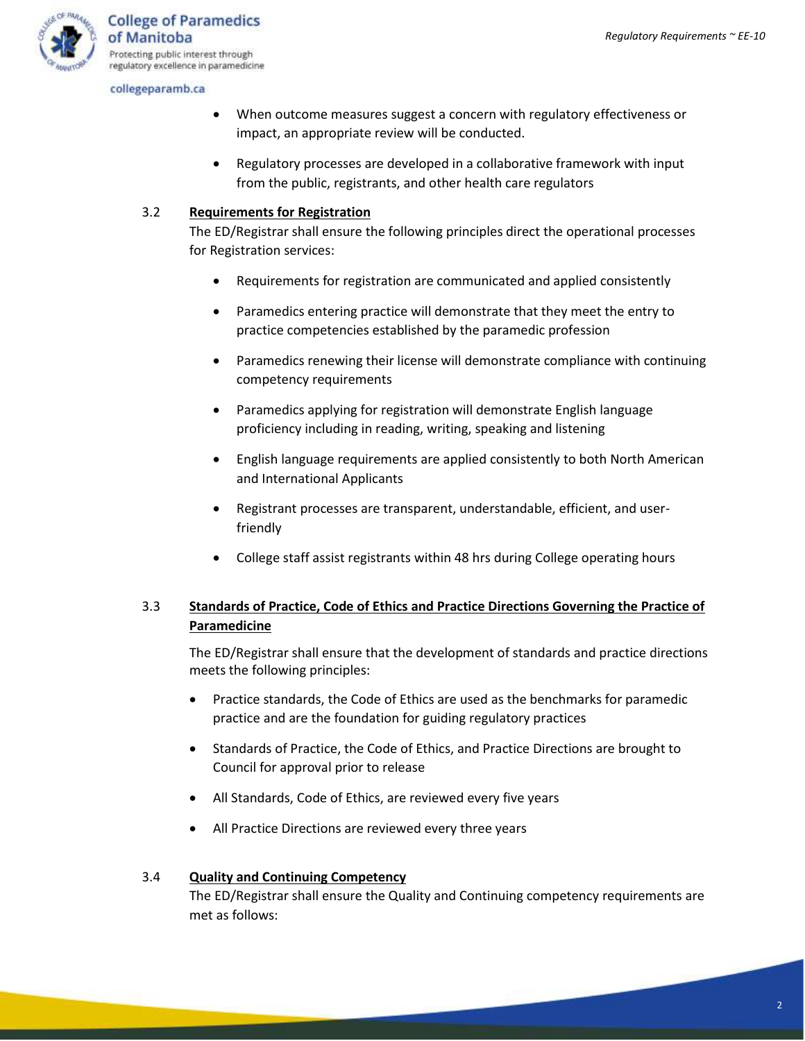

- When outcome measures suggest a concern with regulatory effectiveness or impact, an appropriate review will be conducted.
- Regulatory processes are developed in a collaborative framework with input from the public, registrants, and other health care regulators

#### 3.2 **Requirements for Registration**

The ED/Registrar shall ensure the following principles direct the operational processes for Registration services:

- Requirements for registration are communicated and applied consistently
- Paramedics entering practice will demonstrate that they meet the entry to practice competencies established by the paramedic profession
- Paramedics renewing their license will demonstrate compliance with continuing competency requirements
- Paramedics applying for registration will demonstrate English language proficiency including in reading, writing, speaking and listening
- English language requirements are applied consistently to both North American and International Applicants
- Registrant processes are transparent, understandable, efficient, and userfriendly
- College staff assist registrants within 48 hrs during College operating hours

## 3.3 **Standards of Practice, Code of Ethics and Practice Directions Governing the Practice of Paramedicine**

The ED/Registrar shall ensure that the development of standards and practice directions meets the following principles:

- Practice standards, the Code of Ethics are used as the benchmarks for paramedic practice and are the foundation for guiding regulatory practices
- Standards of Practice, the Code of Ethics, and Practice Directions are brought to Council for approval prior to release
- All Standards, Code of Ethics, are reviewed every five years
- All Practice Directions are reviewed every three years

#### 3.4 **Quality and Continuing Competency**

The ED/Registrar shall ensure the Quality and Continuing competency requirements are met as follows: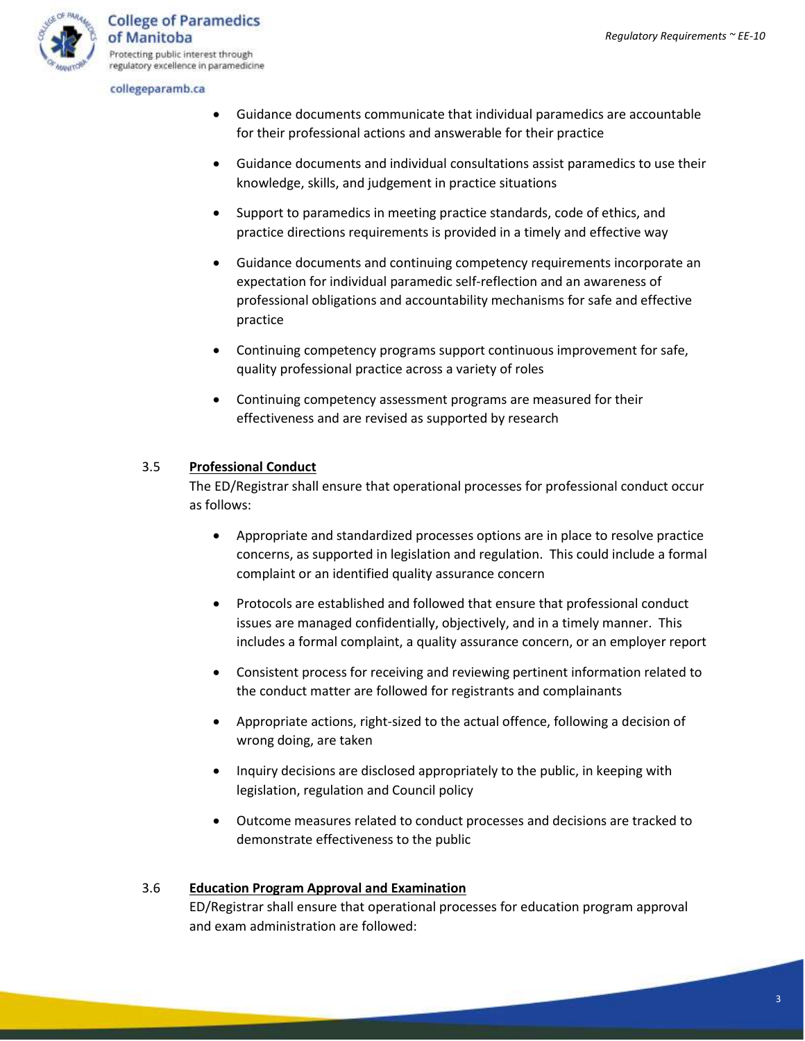

- Guidance documents communicate that individual paramedics are accountable for their professional actions and answerable for their practice
- Guidance documents and individual consultations assist paramedics to use their knowledge, skills, and judgement in practice situations
- Support to paramedics in meeting practice standards, code of ethics, and practice directions requirements is provided in a timely and effective way
- Guidance documents and continuing competency requirements incorporate an expectation for individual paramedic self-reflection and an awareness of professional obligations and accountability mechanisms for safe and effective practice
- Continuing competency programs support continuous improvement for safe, quality professional practice across a variety of roles
- Continuing competency assessment programs are measured for their effectiveness and are revised as supported by research

#### 3.5 **Professional Conduct**

The ED/Registrar shall ensure that operational processes for professional conduct occur as follows:

- Appropriate and standardized processes options are in place to resolve practice concerns, as supported in legislation and regulation. This could include a formal complaint or an identified quality assurance concern
- Protocols are established and followed that ensure that professional conduct issues are managed confidentially, objectively, and in a timely manner. This includes a formal complaint, a quality assurance concern, or an employer report
- Consistent process for receiving and reviewing pertinent information related to the conduct matter are followed for registrants and complainants
- Appropriate actions, right-sized to the actual offence, following a decision of wrong doing, are taken
- Inquiry decisions are disclosed appropriately to the public, in keeping with legislation, regulation and Council policy
- Outcome measures related to conduct processes and decisions are tracked to demonstrate effectiveness to the public

#### 3.6 **Education Program Approval and Examination**

ED/Registrar shall ensure that operational processes for education program approval and exam administration are followed: